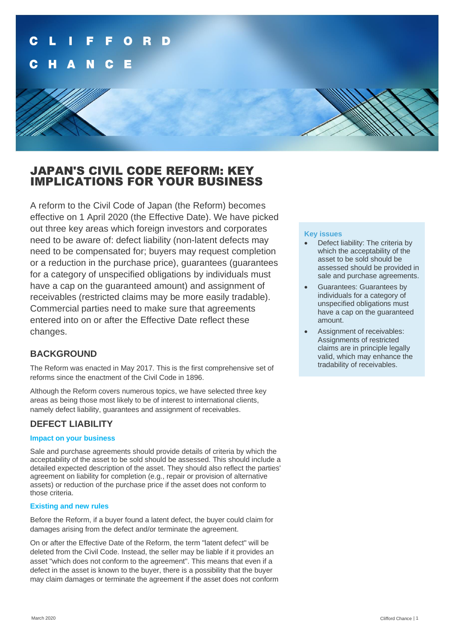

## JAPAN'S CIVIL CODE REFORM: KEY IMPLICATIONS FOR YOUR BUSINESS

A reform to the Civil Code of Japan (the Reform) becomes effective on 1 April 2020 (the Effective Date). We have picked out three key areas which foreign investors and corporates need to be aware of: defect liability (non-latent defects may need to be compensated for; buyers may request completion or a reduction in the purchase price), guarantees (guarantees for a category of unspecified obligations by individuals must have a cap on the guaranteed amount) and assignment of receivables (restricted claims may be more easily tradable). Commercial parties need to make sure that agreements entered into on or after the Effective Date reflect these changes.

### **BACKGROUND**

The Reform was enacted in May 2017. This is the first comprehensive set of reforms since the enactment of the Civil Code in 1896.

Although the Reform covers numerous topics, we have selected three key areas as being those most likely to be of interest to international clients, namely defect liability, guarantees and assignment of receivables.

### **DEFECT LIABILITY**

#### **Impact on your business**

Sale and purchase agreements should provide details of criteria by which the acceptability of the asset to be sold should be assessed. This should include a detailed expected description of the asset. They should also reflect the parties' agreement on liability for completion (e.g., repair or provision of alternative assets) or reduction of the purchase price if the asset does not conform to those criteria.

#### **Existing and new rules**

Before the Reform, if a buyer found a latent defect, the buyer could claim for damages arising from the defect and/or terminate the agreement.

On or after the Effective Date of the Reform, the term "latent defect" will be deleted from the Civil Code. Instead, the seller may be liable if it provides an asset "which does not conform to the agreement". This means that even if a defect in the asset is known to the buyer, there is a possibility that the buyer may claim damages or terminate the agreement if the asset does not conform

#### **Key issues**

- Defect liability: The criteria by which the acceptability of the asset to be sold should be assessed should be provided in sale and purchase agreements.
- Guarantees: Guarantees by individuals for a category of unspecified obligations must have a cap on the guaranteed amount.
- Assignment of receivables: Assignments of restricted claims are in principle legally valid, which may enhance the tradability of receivables.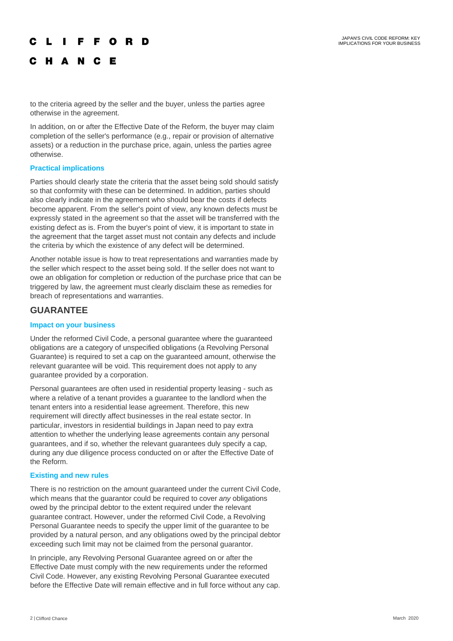## **IFFORD**

C H A N C E

to the criteria agreed by the seller and the buyer, unless the parties agree otherwise in the agreement.

In addition, on or after the Effective Date of the Reform, the buyer may claim completion of the seller's performance (e.g., repair or provision of alternative assets) or a reduction in the purchase price, again, unless the parties agree otherwise.

#### **Practical implications**

Parties should clearly state the criteria that the asset being sold should satisfy so that conformity with these can be determined. In addition, parties should also clearly indicate in the agreement who should bear the costs if defects become apparent. From the seller's point of view, any known defects must be expressly stated in the agreement so that the asset will be transferred with the existing defect as is. From the buyer's point of view, it is important to state in the agreement that the target asset must not contain any defects and include the criteria by which the existence of any defect will be determined.

Another notable issue is how to treat representations and warranties made by the seller which respect to the asset being sold. If the seller does not want to owe an obligation for completion or reduction of the purchase price that can be triggered by law, the agreement must clearly disclaim these as remedies for breach of representations and warranties.

### **GUARANTEE**

#### **Impact on your business**

Under the reformed Civil Code, a personal guarantee where the guaranteed obligations are a category of unspecified obligations (a Revolving Personal Guarantee) is required to set a cap on the guaranteed amount, otherwise the relevant guarantee will be void. This requirement does not apply to any guarantee provided by a corporation.

Personal guarantees are often used in residential property leasing - such as where a relative of a tenant provides a guarantee to the landlord when the tenant enters into a residential lease agreement. Therefore, this new requirement will directly affect businesses in the real estate sector. In particular, investors in residential buildings in Japan need to pay extra attention to whether the underlying lease agreements contain any personal guarantees, and if so, whether the relevant guarantees duly specify a cap, during any due diligence process conducted on or after the Effective Date of the Reform.

#### **Existing and new rules**

There is no restriction on the amount guaranteed under the current Civil Code, which means that the guarantor could be required to cover *any* obligations owed by the principal debtor to the extent required under the relevant guarantee contract. However, under the reformed Civil Code, a Revolving Personal Guarantee needs to specify the upper limit of the guarantee to be provided by a natural person, and any obligations owed by the principal debtor exceeding such limit may not be claimed from the personal guarantor.

In principle, any Revolving Personal Guarantee agreed on or after the Effective Date must comply with the new requirements under the reformed Civil Code. However, any existing Revolving Personal Guarantee executed before the Effective Date will remain effective and in full force without any cap.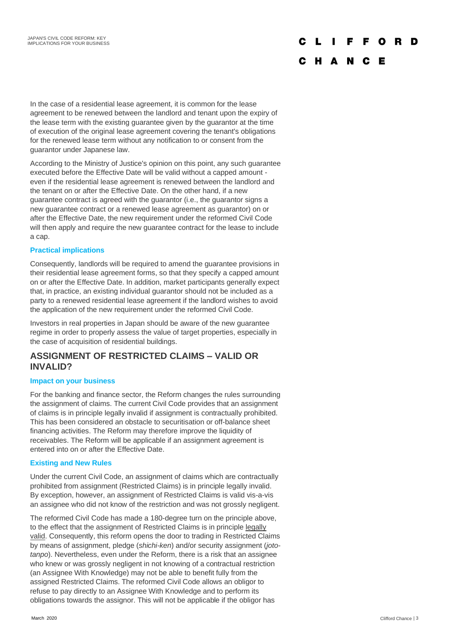# F F O R

### C H A N C E

In the case of a residential lease agreement, it is common for the lease agreement to be renewed between the landlord and tenant upon the expiry of the lease term with the existing guarantee given by the guarantor at the time of execution of the original lease agreement covering the tenant's obligations for the renewed lease term without any notification to or consent from the guarantor under Japanese law.

According to the Ministry of Justice's opinion on this point, any such guarantee executed before the Effective Date will be valid without a capped amount even if the residential lease agreement is renewed between the landlord and the tenant on or after the Effective Date. On the other hand, if a new guarantee contract is agreed with the guarantor (i.e., the guarantor signs a new guarantee contract or a renewed lease agreement as guarantor) on or after the Effective Date, the new requirement under the reformed Civil Code will then apply and require the new guarantee contract for the lease to include a cap.

#### **Practical implications**

Consequently, landlords will be required to amend the guarantee provisions in their residential lease agreement forms, so that they specify a capped amount on or after the Effective Date. In addition, market participants generally expect that, in practice, an existing individual guarantor should not be included as a party to a renewed residential lease agreement if the landlord wishes to avoid the application of the new requirement under the reformed Civil Code.

Investors in real properties in Japan should be aware of the new guarantee regime in order to properly assess the value of target properties, especially in the case of acquisition of residential buildings.

### **ASSIGNMENT OF RESTRICTED CLAIMS – VALID OR INVALID?**

#### **Impact on your business**

For the banking and finance sector, the Reform changes the rules surrounding the assignment of claims. The current Civil Code provides that an assignment of claims is in principle legally invalid if assignment is contractually prohibited. This has been considered an obstacle to securitisation or off-balance sheet financing activities. The Reform may therefore improve the liquidity of receivables. The Reform will be applicable if an assignment agreement is entered into on or after the Effective Date.

#### **Existing and New Rules**

Under the current Civil Code, an assignment of claims which are contractually prohibited from assignment (Restricted Claims) is in principle legally invalid. By exception, however, an assignment of Restricted Claims is valid vis-a-vis an assignee who did not know of the restriction and was not grossly negligent.

The reformed Civil Code has made a 180-degree turn on the principle above, to the effect that the assignment of Restricted Claims is in principle legally valid. Consequently, this reform opens the door to trading in Restricted Claims by means of assignment, pledge (*shichi-ken*) and/or security assignment (*jototanpo*). Nevertheless, even under the Reform, there is a risk that an assignee who knew or was grossly negligent in not knowing of a contractual restriction (an Assignee With Knowledge) may not be able to benefit fully from the assigned Restricted Claims. The reformed Civil Code allows an obligor to refuse to pay directly to an Assignee With Knowledge and to perform its obligations towards the assignor. This will not be applicable if the obligor has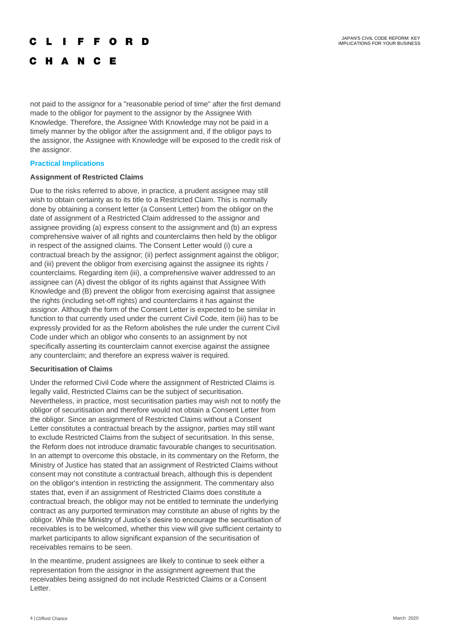### **IFFORD**

### C H A N C E

not paid to the assignor for a "reasonable period of time" after the first demand made to the obligor for payment to the assignor by the Assignee With Knowledge. Therefore, the Assignee With Knowledge may not be paid in a timely manner by the obligor after the assignment and, if the obligor pays to the assignor, the Assignee with Knowledge will be exposed to the credit risk of the assignor.

#### **Practical Implications**

#### **Assignment of Restricted Claims**

Due to the risks referred to above, in practice, a prudent assignee may still wish to obtain certainty as to its title to a Restricted Claim. This is normally done by obtaining a consent letter (a Consent Letter) from the obligor on the date of assignment of a Restricted Claim addressed to the assignor and assignee providing (a) express consent to the assignment and (b) an express comprehensive waiver of all rights and counterclaims then held by the obligor in respect of the assigned claims. The Consent Letter would (i) cure a contractual breach by the assignor; (ii) perfect assignment against the obligor; and (iii) prevent the obligor from exercising against the assignee its rights / counterclaims. Regarding item (iii), a comprehensive waiver addressed to an assignee can (A) divest the obligor of its rights against that Assignee With Knowledge and (B) prevent the obligor from exercising against that assignee the rights (including set-off rights) and counterclaims it has against the assignor. Although the form of the Consent Letter is expected to be similar in function to that currently used under the current Civil Code, item (iii) has to be expressly provided for as the Reform abolishes the rule under the current Civil Code under which an obligor who consents to an assignment by not specifically asserting its counterclaim cannot exercise against the assignee any counterclaim; and therefore an express waiver is required.

#### **Securitisation of Claims**

Under the reformed Civil Code where the assignment of Restricted Claims is legally valid, Restricted Claims can be the subject of securitisation. Nevertheless, in practice, most securitisation parties may wish not to notify the obligor of securitisation and therefore would not obtain a Consent Letter from the obligor. Since an assignment of Restricted Claims without a Consent Letter constitutes a contractual breach by the assignor, parties may still want to exclude Restricted Claims from the subject of securitisation. In this sense, the Reform does not introduce dramatic favourable changes to securitisation. In an attempt to overcome this obstacle, in its commentary on the Reform, the Ministry of Justice has stated that an assignment of Restricted Claims without consent may not constitute a contractual breach, although this is dependent on the obligor's intention in restricting the assignment. The commentary also states that, even if an assignment of Restricted Claims does constitute a contractual breach, the obligor may not be entitled to terminate the underlying contract as any purported termination may constitute an abuse of rights by the obligor. While the Ministry of Justice's desire to encourage the securitisation of receivables is to be welcomed, whether this view will give sufficient certainty to market participants to allow significant expansion of the securitisation of receivables remains to be seen.

In the meantime, prudent assignees are likely to continue to seek either a representation from the assignor in the assignment agreement that the receivables being assigned do not include Restricted Claims or a Consent Letter.